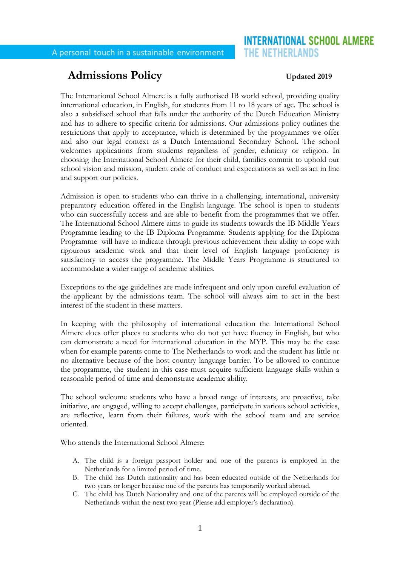# **INTERNATIONAL SCHOOL ALMERE** THE NETHERLANDS

# **Admissions Policy Updated 2019**

The International School Almere is a fully authorised IB world school, providing quality international education, in English, for students from 11 to 18 years of age. The school is also a subsidised school that falls under the authority of the Dutch Education Ministry and has to adhere to specific criteria for admissions. Our admissions policy outlines the restrictions that apply to acceptance, which is determined by the programmes we offer and also our legal context as a Dutch International Secondary School. The school welcomes applications from students regardless of gender, ethnicity or religion. In choosing the International School Almere for their child, families commit to uphold our school vision and mission, student code of conduct and expectations as well as act in line and support our policies.

Admission is open to students who can thrive in a challenging, international, university preparatory education offered in the English language. The school is open to students who can successfully access and are able to benefit from the programmes that we offer. The International School Almere aims to guide its students towards the IB Middle Years Programme leading to the IB Diploma Programme. Students applying for the Diploma Programme will have to indicate through previous achievement their ability to cope with rigourous academic work and that their level of English language proficiency is satisfactory to access the programme. The Middle Years Programme is structured to accommodate a wider range of academic abilities.

Exceptions to the age guidelines are made infrequent and only upon careful evaluation of the applicant by the admissions team. The school will always aim to act in the best interest of the student in these matters.

In keeping with the philosophy of international education the International School Almere does offer places to students who do not yet have fluency in English, but who can demonstrate a need for international education in the MYP. This may be the case when for example parents come to The Netherlands to work and the student has little or no alternative because of the host country language barrier. To be allowed to continue the programme, the student in this case must acquire sufficient language skills within a reasonable period of time and demonstrate academic ability.

The school welcome students who have a broad range of interests, are proactive, take initiative, are engaged, willing to accept challenges, participate in various school activities, are reflective, learn from their failures, work with the school team and are service oriented.

Who attends the International School Almere:

- A. The child is a foreign passport holder and one of the parents is employed in the Netherlands for a limited period of time.
- B. The child has Dutch nationality and has been educated outside of the Netherlands for two years or longer because one of the parents has temporarily worked abroad.
- C. The child has Dutch Nationality and one of the parents will be employed outside of the Netherlands within the next two year (Please add employer's declaration).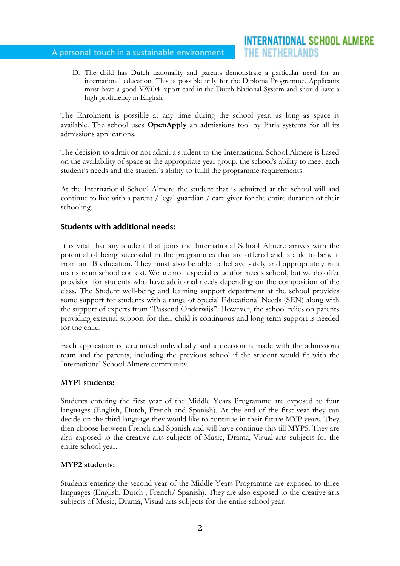# A personal touch in a sustainable environment

D. The child has Dutch nationality and parents demonstrate a particular need for an international education. This is possible only for the Diploma Programme. Applicants must have a good VWO4 report card in the Dutch National System and should have a high proficiency in English.

The Enrolment is possible at any time during the school year, as long as space is available. The school uses **OpenApply** an admissions tool by Faria systems for all its admissions applications.

The decision to admit or not admit a student to the International School Almere is based on the availability of space at the appropriate year group, the school's ability to meet each student's needs and the student's ability to fulfil the programme requirements.

At the International School Almere the student that is admitted at the school will and continue to live with a parent / legal guardian / care giver for the entire duration of their schooling.

# **Students with additional needs:**

It is vital that any student that joins the International School Almere arrives with the potential of being successful in the programmes that are offered and is able to benefit from an IB education. They must also be able to behave safely and appropriately in a mainstream school context. We are not a special education needs school, but we do offer provision for students who have additional needs depending on the composition of the class. The Student well-being and learning support department at the school provides some support for students with a range of Special Educational Needs (SEN) along with the support of experts from "Passend Onderwijs". However, the school relies on parents providing external support for their child is continuous and long term support is needed for the child.

Each application is scrutinised individually and a decision is made with the admissions team and the parents, including the previous school if the student would fit with the International School Almere community.

# **MYP1 students:**

Students entering the first year of the Middle Years Programme are exposed to four languages (English, Dutch, French and Spanish). At the end of the first year they can decide on the third language they would like to continue in their future MYP years. They then choose between French and Spanish and will have continue this till MYP5. They are also exposed to the creative arts subjects of Music, Drama, Visual arts subjects for the entire school year.

# **MYP2 students:**

Students entering the second year of the Middle Years Programme are exposed to three languages (English, Dutch , French/ Spanish). They are also exposed to the creative arts subjects of Music, Drama, Visual arts subjects for the entire school year.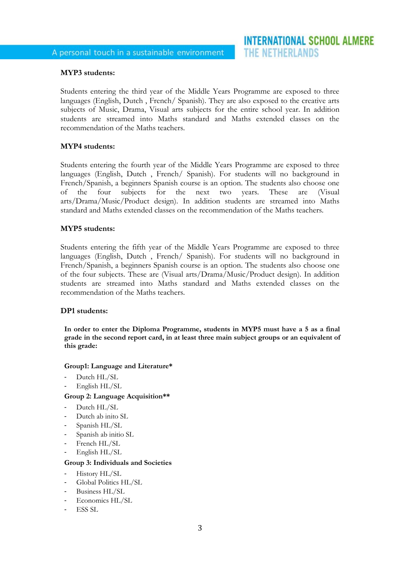## **MYP3 students:**

Students entering the third year of the Middle Years Programme are exposed to three languages (English, Dutch , French/ Spanish). They are also exposed to the creative arts subjects of Music, Drama, Visual arts subjects for the entire school year. In addition students are streamed into Maths standard and Maths extended classes on the recommendation of the Maths teachers.

### **MYP4 students:**

Students entering the fourth year of the Middle Years Programme are exposed to three languages (English, Dutch , French/ Spanish). For students will no background in French/Spanish, a beginners Spanish course is an option. The students also choose one of the four subjects for the next two years. These are (Visual arts/Drama/Music/Product design). In addition students are streamed into Maths standard and Maths extended classes on the recommendation of the Maths teachers.

### **MYP5 students:**

Students entering the fifth year of the Middle Years Programme are exposed to three languages (English, Dutch , French/ Spanish). For students will no background in French/Spanish, a beginners Spanish course is an option. The students also choose one of the four subjects. These are (Visual arts/Drama/Music/Product design). In addition students are streamed into Maths standard and Maths extended classes on the recommendation of the Maths teachers.

### **DP1 students:**

**In order to enter the Diploma Programme, students in MYP5 must have a 5 as a final grade in the second report card, in at least three main subject groups or an equivalent of this grade:** 

### **Group1: Language and Literature\***

- Dutch HL/SL
- English HL/SL

### **Group 2: Language Acquisition\*\***

- Dutch HL/SL
- Dutch ab inito SL
- Spanish HL/SL
- Spanish ab initio SL
- French HL/SL
- English HL/SL

### **Group 3: Individuals and Societies**

- History HL/SL
- Global Politics HL/SL
- Business HL/SL
- Economics HL/SL
- ESS SL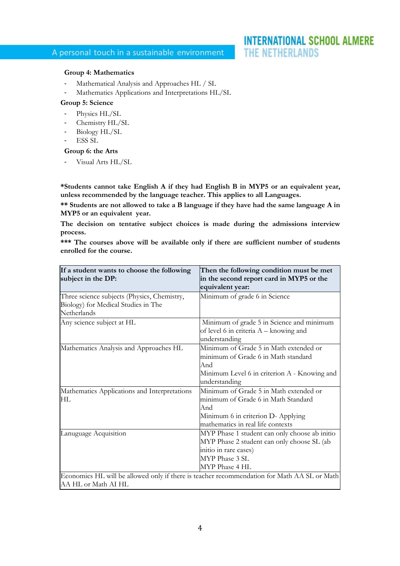#### **Group 4: Mathematics**

- Mathematical Analysis and Approaches HL / SL
- Mathematics Applications and Interpretations HL/SL

#### **Group 5: Science**

- Physics HL/SL
- Chemistry HL/SL
- Biology HL/SL
- ESS SL

# **Group 6: the Arts**

Visual Arts HL/SL

**\*Students cannot take English A if they had English B in MYP5 or an equivalent year, unless recommended by the language teacher. This applies to all Languages.** 

**\*\* Students are not allowed to take a B language if they have had the same language A in MYP5 or an equivalent year.**

**The decision on tentative subject choices is made during the admissions interview process.**

**\*\*\* The courses above will be available only if there are sufficient number of students enrolled for the course.**

| If a student wants to choose the following<br>subject in the DP:                                                   | Then the following condition must be met<br>in the second report card in MYP5 or the<br>equivalent year:                                                        |
|--------------------------------------------------------------------------------------------------------------------|-----------------------------------------------------------------------------------------------------------------------------------------------------------------|
| Three science subjects (Physics, Chemistry,<br>Biology) for Medical Studies in The<br>Netherlands                  | Minimum of grade 6 in Science                                                                                                                                   |
| Any science subject at HL                                                                                          | Minimum of grade 5 in Science and minimum<br>of level 6 in criteria $A - k$ nowing and<br>understanding                                                         |
| Mathematics Analysis and Approaches HL                                                                             | Minimum of Grade 5 in Math extended or<br>minimum of Grade 6 in Math standard<br>And<br>Minimum Level 6 in criterion A - Knowing and<br>understanding           |
| Mathematics Applications and Interpretations<br>HL                                                                 | Minimum of Grade 5 in Math extended or<br>minimum of Grade 6 in Math Standard<br>And<br>Minimum 6 in criterion D- Applying<br>mathematics in real life contexts |
| Lanuguage Acquisition                                                                                              | MYP Phase 1 student can only choose ab initio<br>MYP Phase 2 student can only choose SL (ab<br>initio in rare cases)<br>MYP Phase 3 SL<br>MYP Phase 4 HL        |
| Economics HL will be allowed only if there is teacher recommendation for Math AA SL or Math<br>AA HL or Math AI HL |                                                                                                                                                                 |

# **INTERNATIONAL SCHOOL ALMERE** THE NETHERLANDS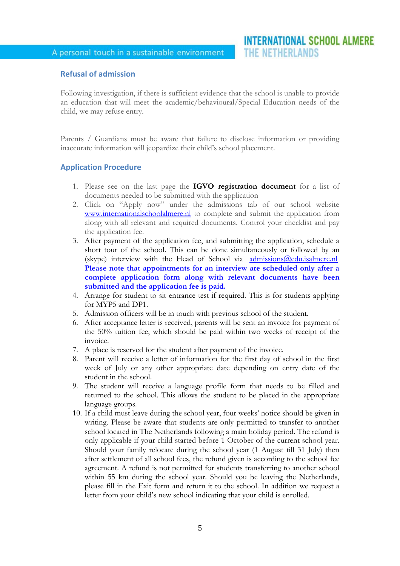# **Refusal of admission**

Following investigation, if there is sufficient evidence that the school is unable to provide an education that will meet the academic/behavioural/Special Education needs of the child, we may refuse entry.

Parents / Guardians must be aware that failure to disclose information or providing inaccurate information will jeopardize their child's school placement.

### **Application Procedure**

- 1. Please see on the last page the **IGVO registration document** for a list of documents needed to be submitted with the application
- 2. Click on "Apply now" under the admissions tab of our school website [www.internationalschoolalmere.nl](http://www.internationalschoolalmere.nl/) to complete and submit the application from along with all relevant and required documents. Control your checklist and pay the application fee.
- 3. After payment of the application fee, and submitting the application, schedule a short tour of the school. This can be done simultaneously or followed by an (skype) interview with the Head of School via [admissions@edu.isalmere.nl](mailto:info@internationalschoolalmere.nl) **Please note that appointments for an interview are scheduled only after a complete application form along with relevant documents have been submitted and the application fee is paid.**
- 4. Arrange for student to sit entrance test if required. This is for students applying for MYP5 and DP1.
- 5. Admission officers will be in touch with previous school of the student.
- 6. After acceptance letter is received, parents will be sent an invoice for payment of the 50% tuition fee, which should be paid within two weeks of receipt of the invoice.
- 7. A place is reserved for the student after payment of the invoice.
- 8. Parent will receive a letter of information for the first day of school in the first week of July or any other appropriate date depending on entry date of the student in the school.
- 9. The student will receive a language profile form that needs to be filled and returned to the school. This allows the student to be placed in the appropriate language groups.
- 10. If a child must leave during the school year, four weeks' notice should be given in writing. Please be aware that students are only permitted to transfer to another school located in The Netherlands following a main holiday period. The refund is only applicable if your child started before 1 October of the current school year. Should your family relocate during the school year (1 August till 31 July) then after settlement of all school fees, the refund given is according to the school fee agreement. A refund is not permitted for students transferring to another school within 55 km during the school year. Should you be leaving the Netherlands, please fill in the Exit form and return it to the school. In addition we request a letter from your child's new school indicating that your child is enrolled.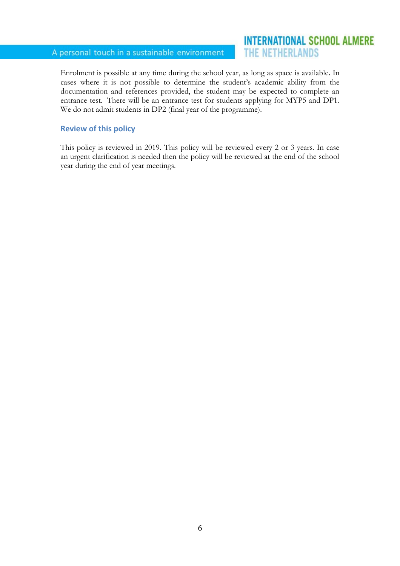# A personal touch in a sustainable environment

# **INTERNATIONAL SCHOOL ALMERE** THE NETHERLANDS

Enrolment is possible at any time during the school year, as long as space is available. In cases where it is not possible to determine the student's academic ability from the documentation and references provided, the student may be expected to complete an entrance test. There will be an entrance test for students applying for MYP5 and DP1. We do not admit students in DP2 (final year of the programme).

## **Review of this policy**

This policy is reviewed in 2019. This policy will be reviewed every 2 or 3 years. In case an urgent clarification is needed then the policy will be reviewed at the end of the school year during the end of year meetings.